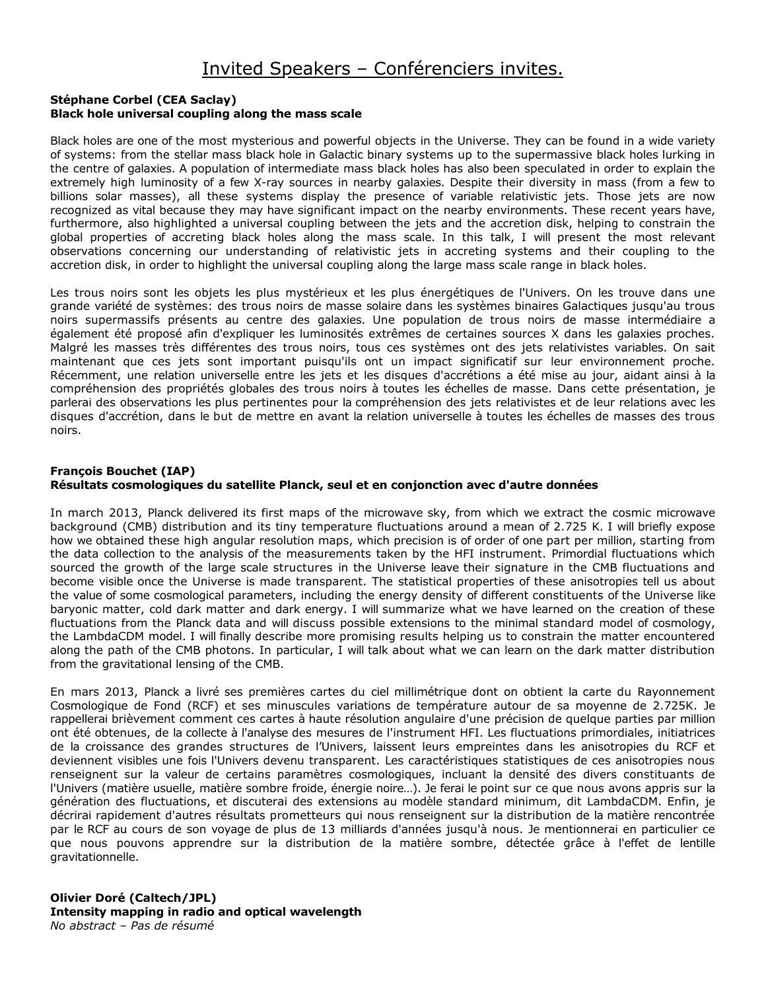# Invited Speakers – Conférenciers invites.

### **Stéphane Corbel (CEA Saclay) Black hole universal coupling along the mass scale**

Black holes are one of the most mysterious and powerful objects in the Universe. They can be found in a wide variety of systems: from the stellar mass black hole in Galactic binary systems up to the supermassive black holes lurking in the centre of galaxies. A population of intermediate mass black holes has also been speculated in order to explain the extremely high luminosity of a few X-ray sources in nearby galaxies. Despite their diversity in mass (from a few to billions solar masses), all these systems display the presence of variable relativistic jets. Those jets are now recognized as vital because they may have significant impact on the nearby environments. These recent years have, furthermore, also highlighted a universal coupling between the jets and the accretion disk, helping to constrain the global properties of accreting black holes along the mass scale. In this talk, I will present the most relevant observations concerning our understanding of relativistic jets in accreting systems and their coupling to the accretion disk, in order to highlight the universal coupling along the large mass scale range in black holes.

Les trous noirs sont les objets les plus mystérieux et les plus énergétiques de l'Univers. On les trouve dans une grande variété de systèmes: des trous noirs de masse solaire dans les systèmes binaires Galactiques jusqu'au trous noirs supermassifs présents au centre des galaxies. Une population de trous noirs de masse intermédiaire a également été proposé afin d'expliquer les luminosités extrêmes de certaines sources X dans les galaxies proches. Malgré les masses très différentes des trous noirs, tous ces systèmes ont des jets relativistes variables. On sait maintenant que ces jets sont important puisqu'ils ont un impact significatif sur leur environnement proche. Récemment, une relation universelle entre les jets et les disques d'accrétions a été mise au jour, aidant ainsi à la compréhension des propriétés globales des trous noirs à toutes les échelles de masse. Dans cette présentation, je parlerai des observations les plus pertinentes pour la compréhension des jets relativistes et de leur relations avec les disques d'accrétion, dans le but de mettre en avant la relation universelle à toutes les échelles de masses des trous noirs.

### **François Bouchet (IAP) Résultats cosmologiques du satellite Planck, seul et en conjonction avec d'autre données**

In march 2013, Planck delivered its first maps of the microwave sky, from which we extract the cosmic microwave background (CMB) distribution and its tiny temperature fluctuations around a mean of 2.725 K. I will briefly expose how we obtained these high angular resolution maps, which precision is of order of one part per million, starting from the data collection to the analysis of the measurements taken by the HFI instrument. Primordial fluctuations which sourced the growth of the large scale structures in the Universe leave their signature in the CMB fluctuations and become visible once the Universe is made transparent. The statistical properties of these anisotropies tell us about the value of some cosmological parameters, including the energy density of different constituents of the Universe like baryonic matter, cold dark matter and dark energy. I will summarize what we have learned on the creation of these fluctuations from the Planck data and will discuss possible extensions to the minimal standard model of cosmology, the LambdaCDM model. I will finally describe more promising results helping us to constrain the matter encountered along the path of the CMB photons. In particular, I will talk about what we can learn on the dark matter distribution from the gravitational lensing of the CMB.

En mars 2013, Planck a livré ses premières cartes du ciel millimétrique dont on obtient la carte du Rayonnement Cosmologique de Fond (RCF) et ses minuscules variations de température autour de sa moyenne de 2.725K. Je rappellerai brièvement comment ces cartes à haute résolution angulaire d'une précision de quelque parties par million ont été obtenues, de la collecte à l'analyse des mesures de l'instrument HFI. Les fluctuations primordiales, initiatrices de la croissance des grandes structures de l'Univers, laissent leurs empreintes dans les anisotropies du RCF et deviennent visibles une fois l'Univers devenu transparent. Les caractéristiques statistiques de ces anisotropies nous renseignent sur la valeur de certains paramètres cosmologiques, incluant la densité des divers constituants de l'Univers (matière usuelle, matière sombre froide, énergie noire…). Je ferai le point sur ce que nous avons appris sur la génération des fluctuations, et discuterai des extensions au modèle standard minimum, dit LambdaCDM. Enfin, je décrirai rapidement d'autres résultats prometteurs qui nous renseignent sur la distribution de la matière rencontrée par le RCF au cours de son voyage de plus de 13 milliards d'années jusqu'à nous. Je mentionnerai en particulier ce que nous pouvons apprendre sur la distribution de la matière sombre, détectée grâce à l'effet de lentille gravitationnelle.

#### **Olivier Doré (Caltech/JPL) Intensity mapping in radio and optical wavelength** *No abstract – Pas de résumé*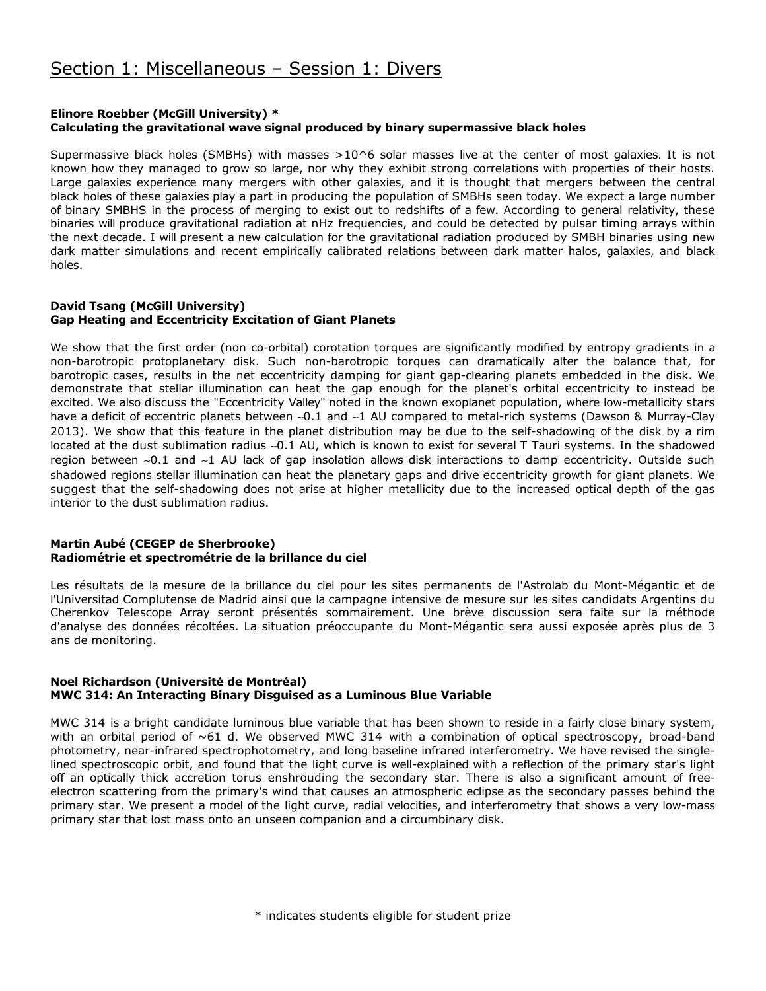### **Elinore Roebber (McGill University) \* Calculating the gravitational wave signal produced by binary supermassive black holes**

Supermassive black holes (SMBHs) with masses  $>10^6$  solar masses live at the center of most galaxies. It is not known how they managed to grow so large, nor why they exhibit strong correlations with properties of their hosts. Large galaxies experience many mergers with other galaxies, and it is thought that mergers between the central black holes of these galaxies play a part in producing the population of SMBHs seen today. We expect a large number of binary SMBHS in the process of merging to exist out to redshifts of a few. According to general relativity, these binaries will produce gravitational radiation at nHz frequencies, and could be detected by pulsar timing arrays within the next decade. I will present a new calculation for the gravitational radiation produced by SMBH binaries using new dark matter simulations and recent empirically calibrated relations between dark matter halos, galaxies, and black holes.

### **David Tsang (McGill University) Gap Heating and Eccentricity Excitation of Giant Planets**

We show that the first order (non co-orbital) corotation torques are significantly modified by entropy gradients in a non-barotropic protoplanetary disk. Such non-barotropic torques can dramatically alter the balance that, for barotropic cases, results in the net eccentricity damping for giant gap-clearing planets embedded in the disk. We demonstrate that stellar illumination can heat the gap enough for the planet's orbital eccentricity to instead be excited. We also discuss the "Eccentricity Valley" noted in the known exoplanet population, where low-metallicity stars have a deficit of eccentric planets between ∼0.1 and ∼1 AU compared to metal-rich systems (Dawson & Murray-Clay 2013). We show that this feature in the planet distribution may be due to the self-shadowing of the disk by a rim located at the dust sublimation radius ∼0.1 AU, which is known to exist for several T Tauri systems. In the shadowed region between ∼0.1 and ∼1 AU lack of gap insolation allows disk interactions to damp eccentricity. Outside such shadowed regions stellar illumination can heat the planetary gaps and drive eccentricity growth for giant planets. We suggest that the self-shadowing does not arise at higher metallicity due to the increased optical depth of the gas interior to the dust sublimation radius.

### **Martin Aubé (CEGEP de Sherbrooke) Radiométrie et spectrométrie de la brillance du ciel**

Les résultats de la mesure de la brillance du ciel pour les sites permanents de l'Astrolab du Mont-Mégantic et de l'Universitad Complutense de Madrid ainsi que la campagne intensive de mesure sur les sites candidats Argentins du Cherenkov Telescope Array seront présentés sommairement. Une brève discussion sera faite sur la méthode d'analyse des données récoltées. La situation préoccupante du Mont-Mégantic sera aussi exposée après plus de 3 ans de monitoring.

### **Noel Richardson (Université de Montréal) MWC 314: An Interacting Binary Disguised as a Luminous Blue Variable**

MWC 314 is a bright candidate luminous blue variable that has been shown to reside in a fairly close binary system, with an orbital period of  $\sim 61$  d. We observed MWC 314 with a combination of optical spectroscopy, broad-band photometry, near-infrared spectrophotometry, and long baseline infrared interferometry. We have revised the singlelined spectroscopic orbit, and found that the light curve is well-explained with a reflection of the primary star's light off an optically thick accretion torus enshrouding the secondary star. There is also a significant amount of freeelectron scattering from the primary's wind that causes an atmospheric eclipse as the secondary passes behind the primary star. We present a model of the light curve, radial velocities, and interferometry that shows a very low-mass primary star that lost mass onto an unseen companion and a circumbinary disk.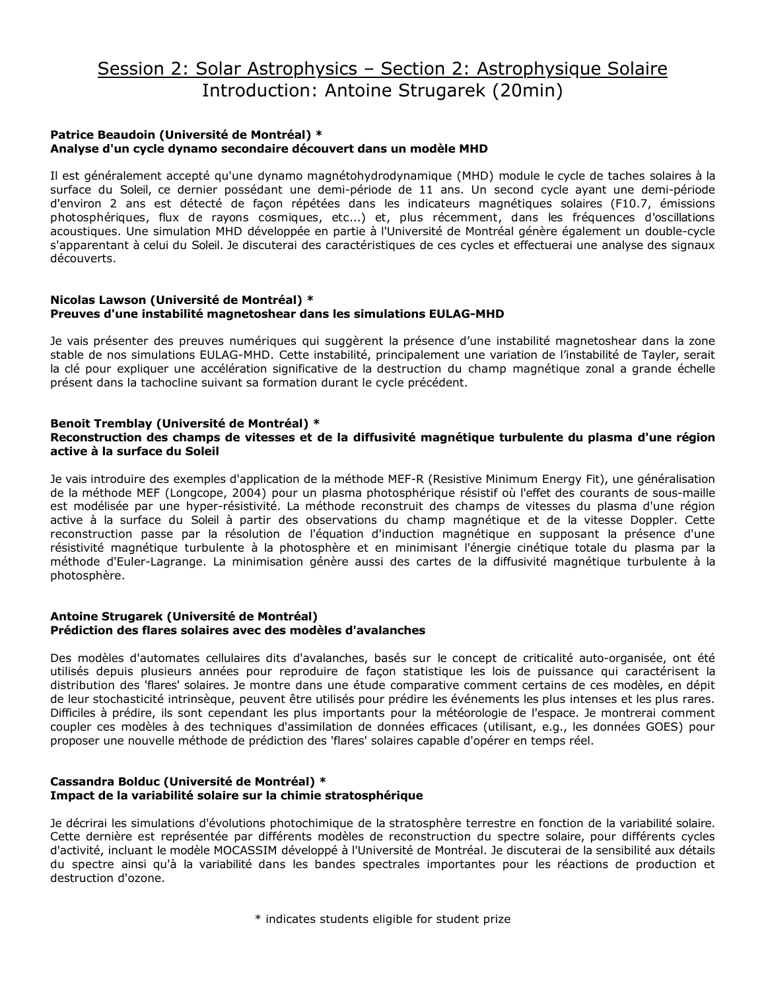# Session 2: Solar Astrophysics – Section 2: Astrophysique Solaire Introduction: Antoine Strugarek (20min)

### **Patrice Beaudoin (Université de Montréal) \* Analyse d'un cycle dynamo secondaire découvert dans un modèle MHD**

Il est généralement accepté qu'une dynamo magnétohydrodynamique (MHD) module le cycle de taches solaires à la surface du Soleil, ce dernier possédant une demi-période de 11 ans. Un second cycle ayant une demi-période d'environ 2 ans est détecté de façon répétées dans les indicateurs magnétiques solaires (F10.7, émissions photosphériques, flux de rayons cosmiques, etc...) et, plus récemment, dans les fréquences d'oscillations acoustiques. Une simulation MHD développée en partie à l'Université de Montréal génère également un double-cycle s'apparentant à celui du Soleil. Je discuterai des caractéristiques de ces cycles et effectuerai une analyse des signaux découverts.

### **Nicolas Lawson (Université de Montréal) \* Preuves d'une instabilité magnetoshear dans les simulations EULAG-MHD**

Je vais présenter des preuves numériques qui suggèrent la présence d'une instabilité magnetoshear dans la zone stable de nos simulations EULAG-MHD. Cette instabilité, principalement une variation de l'instabilité de Tayler, serait la clé pour expliquer une accélération significative de la destruction du champ magnétique zonal a grande échelle présent dans la tachocline suivant sa formation durant le cycle précédent.

### **Benoit Tremblay (Université de Montréal) \***

### **Reconstruction des champs de vitesses et de la diffusivité magnétique turbulente du plasma d'une région active à la surface du Soleil**

Je vais introduire des exemples d'application de la méthode MEF-R (Resistive Minimum Energy Fit), une généralisation de la méthode MEF (Longcope, 2004) pour un plasma photosphérique résistif où l'effet des courants de sous-maille est modélisée par une hyper-résistivité. La méthode reconstruit des champs de vitesses du plasma d'une région active à la surface du Soleil à partir des observations du champ magnétique et de la vitesse Doppler. Cette reconstruction passe par la résolution de l'équation d'induction magnétique en supposant la présence d'une résistivité magnétique turbulente à la photosphère et en minimisant l'énergie cinétique totale du plasma par la méthode d'Euler-Lagrange. La minimisation génère aussi des cartes de la diffusivité magnétique turbulente à la photosphère.

#### **Antoine Strugarek (Université de Montréal) Prédiction des flares solaires avec des modèles d'avalanches**

Des modèles d'automates cellulaires dits d'avalanches, basés sur le concept de criticalité auto-organisée, ont été utilisés depuis plusieurs années pour reproduire de façon statistique les lois de puissance qui caractérisent la distribution des 'flares' solaires. Je montre dans une étude comparative comment certains de ces modèles, en dépit de leur stochasticité intrinsèque, peuvent être utilisés pour prédire les événements les plus intenses et les plus rares. Difficiles à prédire, ils sont cependant les plus importants pour la météorologie de l'espace. Je montrerai comment coupler ces modèles à des techniques d'assimilation de données efficaces (utilisant, e.g., les données GOES) pour proposer une nouvelle méthode de prédiction des 'flares' solaires capable d'opérer en temps réel.

### **Cassandra Bolduc (Université de Montréal) \* Impact de la variabilité solaire sur la chimie stratosphérique**

Je décrirai les simulations d'évolutions photochimique de la stratosphère terrestre en fonction de la variabilité solaire. Cette dernière est représentée par différents modèles de reconstruction du spectre solaire, pour différents cycles d'activité, incluant le modèle MOCASSIM développé à l'Université de Montréal. Je discuterai de la sensibilité aux détails du spectre ainsi qu'à la variabilité dans les bandes spectrales importantes pour les réactions de production et destruction d'ozone.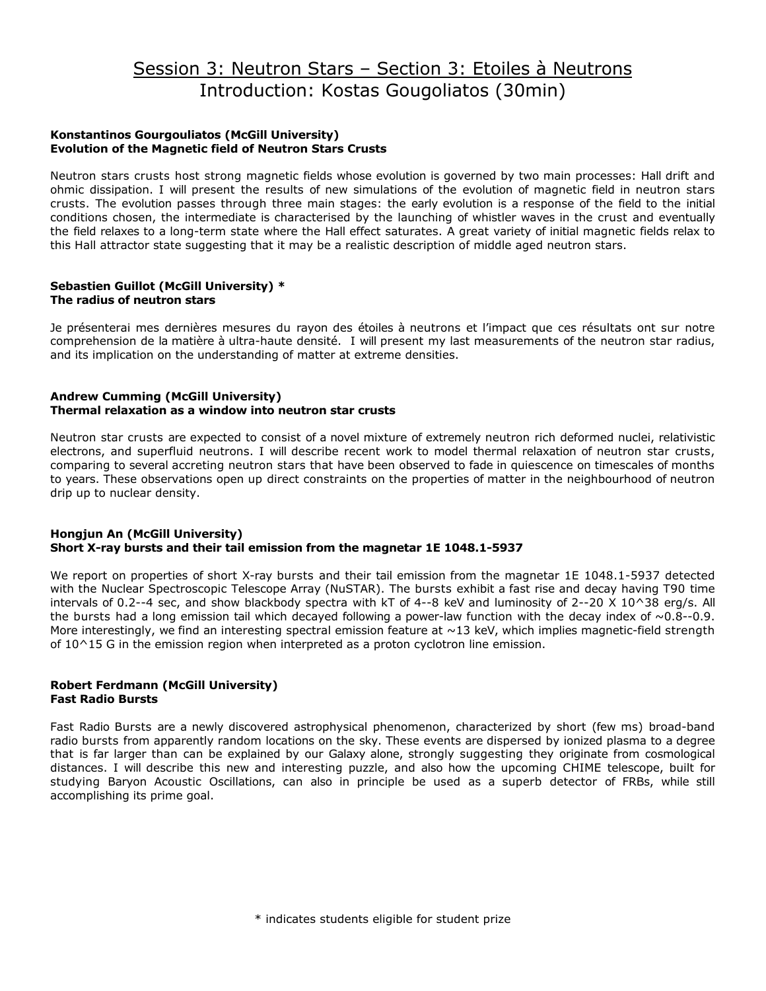# Session 3: Neutron Stars – Section 3: Etoiles à Neutrons Introduction: Kostas Gougoliatos (30min)

### **Konstantinos Gourgouliatos (McGill University) Evolution of the Magnetic field of Neutron Stars Crusts**

Neutron stars crusts host strong magnetic fields whose evolution is governed by two main processes: Hall drift and ohmic dissipation. I will present the results of new simulations of the evolution of magnetic field in neutron stars crusts. The evolution passes through three main stages: the early evolution is a response of the field to the initial conditions chosen, the intermediate is characterised by the launching of whistler waves in the crust and eventually the field relaxes to a long-term state where the Hall effect saturates. A great variety of initial magnetic fields relax to this Hall attractor state suggesting that it may be a realistic description of middle aged neutron stars.

### **Sebastien Guillot (McGill University) \* The radius of neutron stars**

Je présenterai mes dernières mesures du rayon des étoiles à neutrons et l'impact que ces résultats ont sur notre comprehension de la matière à ultra-haute densité. I will present my last measurements of the neutron star radius, and its implication on the understanding of matter at extreme densities.

### **Andrew Cumming (McGill University) Thermal relaxation as a window into neutron star crusts**

Neutron star crusts are expected to consist of a novel mixture of extremely neutron rich deformed nuclei, relativistic electrons, and superfluid neutrons. I will describe recent work to model thermal relaxation of neutron star crusts, comparing to several accreting neutron stars that have been observed to fade in quiescence on timescales of months to years. These observations open up direct constraints on the properties of matter in the neighbourhood of neutron drip up to nuclear density.

### **Hongjun An (McGill University) Short X-ray bursts and their tail emission from the magnetar 1E 1048.1-5937**

We report on properties of short X-ray bursts and their tail emission from the magnetar 1E 1048.1-5937 detected with the Nuclear Spectroscopic Telescope Array (NuSTAR). The bursts exhibit a fast rise and decay having T90 time intervals of 0.2--4 sec, and show blackbody spectra with kT of 4--8 keV and luminosity of 2--20 X 10^38 erg/s. All the bursts had a long emission tail which decayed following a power-law function with the decay index of  $\sim 0.8$ -0.9. More interestingly, we find an interesting spectral emission feature at  $\sim$ 13 keV, which implies magnetic-field strength of  $10^{\circ}15$  G in the emission region when interpreted as a proton cyclotron line emission.

### **Robert Ferdmann (McGill University) Fast Radio Bursts**

Fast Radio Bursts are a newly discovered astrophysical phenomenon, characterized by short (few ms) broad-band radio bursts from apparently random locations on the sky. These events are dispersed by ionized plasma to a degree that is far larger than can be explained by our Galaxy alone, strongly suggesting they originate from cosmological distances. I will describe this new and interesting puzzle, and also how the upcoming CHIME telescope, built for studying Baryon Acoustic Oscillations, can also in principle be used as a superb detector of FRBs, while still accomplishing its prime goal.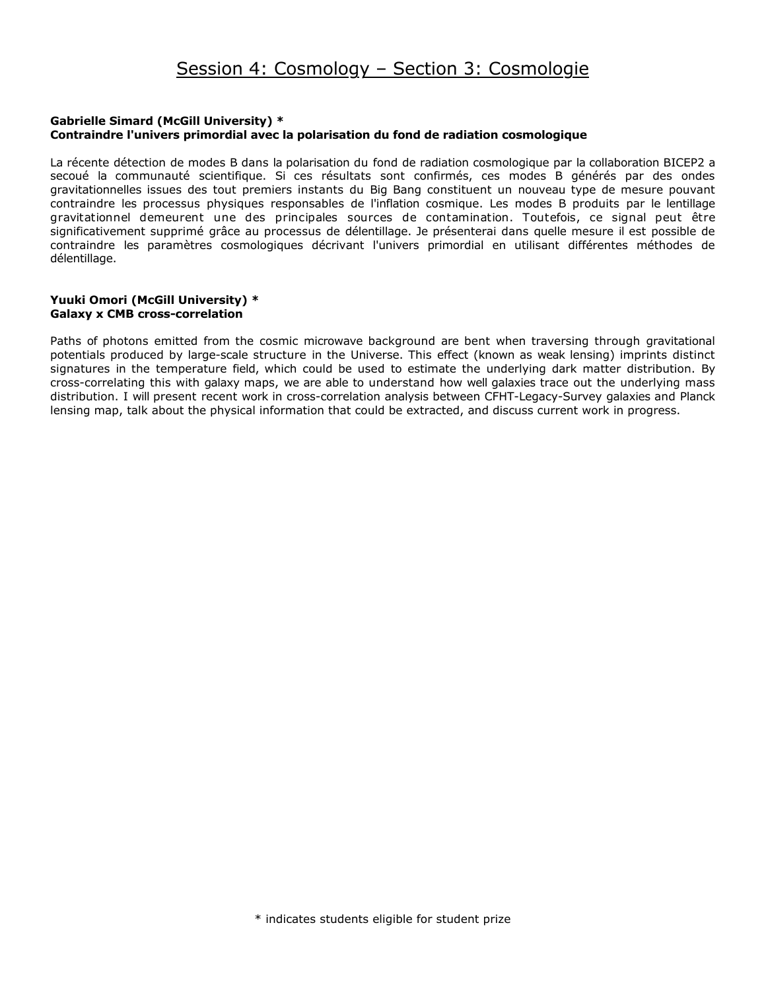### **Gabrielle Simard (McGill University) \* Contraindre l'univers primordial avec la polarisation du fond de radiation cosmologique**

La récente détection de modes B dans la polarisation du fond de radiation cosmologique par la collaboration BICEP2 a secoué la communauté scientifique. Si ces résultats sont confirmés, ces modes B générés par des ondes gravitationnelles issues des tout premiers instants du Big Bang constituent un nouveau type de mesure pouvant contraindre les processus physiques responsables de l'inflation cosmique. Les modes B produits par le lentillage gravitationnel demeurent une des principales sources de contamination. Toutefois, ce signal peut être significativement supprimé grâce au processus de délentillage. Je présenterai dans quelle mesure il est possible de contraindre les paramètres cosmologiques décrivant l'univers primordial en utilisant différentes méthodes de délentillage.

### **Yuuki Omori (McGill University) \* Galaxy x CMB cross-correlation**

Paths of photons emitted from the cosmic microwave background are bent when traversing through gravitational potentials produced by large-scale structure in the Universe. This effect (known as weak lensing) imprints distinct signatures in the temperature field, which could be used to estimate the underlying dark matter distribution. By cross-correlating this with galaxy maps, we are able to understand how well galaxies trace out the underlying mass distribution. I will present recent work in cross-correlation analysis between CFHT-Legacy-Survey galaxies and Planck lensing map, talk about the physical information that could be extracted, and discuss current work in progress.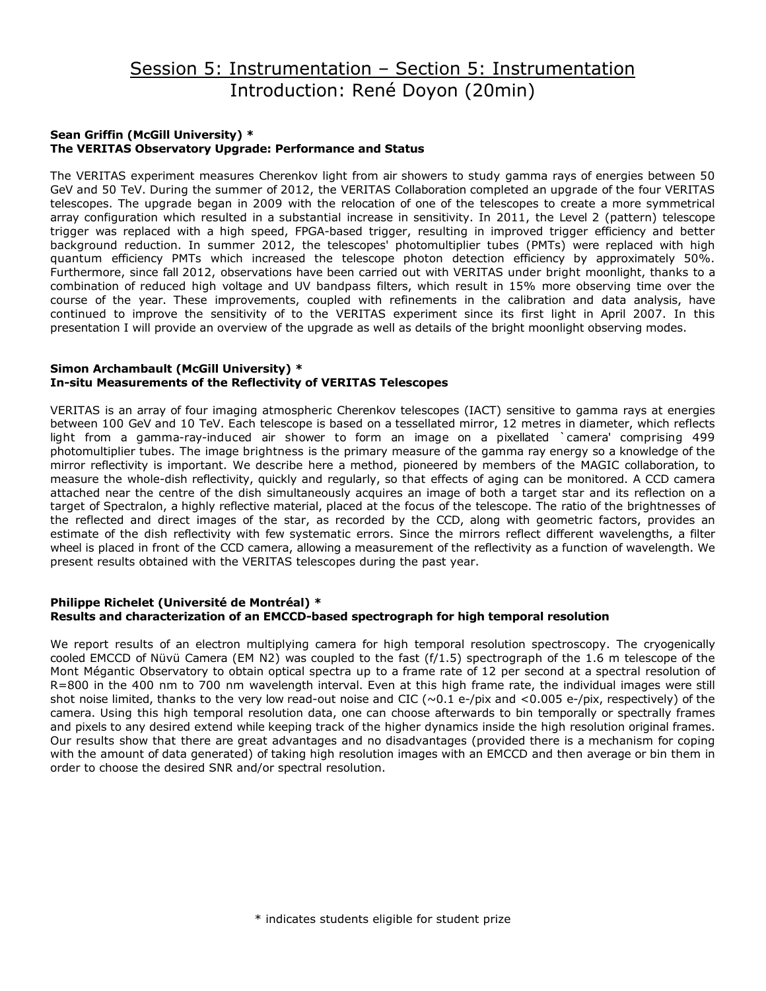# Session 5: Instrumentation – Section 5: Instrumentation Introduction: René Doyon (20min)

### **Sean Griffin (McGill University) \* The VERITAS Observatory Upgrade: Performance and Status**

The VERITAS experiment measures Cherenkov light from air showers to study gamma rays of energies between 50 GeV and 50 TeV. During the summer of 2012, the VERITAS Collaboration completed an upgrade of the four VERITAS telescopes. The upgrade began in 2009 with the relocation of one of the telescopes to create a more symmetrical array configuration which resulted in a substantial increase in sensitivity. In 2011, the Level 2 (pattern) telescope trigger was replaced with a high speed, FPGA-based trigger, resulting in improved trigger efficiency and better background reduction. In summer 2012, the telescopes' photomultiplier tubes (PMTs) were replaced with high quantum efficiency PMTs which increased the telescope photon detection efficiency by approximately 50%. Furthermore, since fall 2012, observations have been carried out with VERITAS under bright moonlight, thanks to a combination of reduced high voltage and UV bandpass filters, which result in 15% more observing time over the course of the year. These improvements, coupled with refinements in the calibration and data analysis, have continued to improve the sensitivity of to the VERITAS experiment since its first light in April 2007. In this presentation I will provide an overview of the upgrade as well as details of the bright moonlight observing modes.

### **Simon Archambault (McGill University) \* In-situ Measurements of the Reflectivity of VERITAS Telescopes**

VERITAS is an array of four imaging atmospheric Cherenkov telescopes (IACT) sensitive to gamma rays at energies between 100 GeV and 10 TeV. Each telescope is based on a tessellated mirror, 12 metres in diameter, which reflects light from a gamma-ray-induced air shower to form an image on a pixellated `camera' comprising 499 photomultiplier tubes. The image brightness is the primary measure of the gamma ray energy so a knowledge of the mirror reflectivity is important. We describe here a method, pioneered by members of the MAGIC collaboration, to measure the whole-dish reflectivity, quickly and regularly, so that effects of aging can be monitored. A CCD camera attached near the centre of the dish simultaneously acquires an image of both a target star and its reflection on a target of Spectralon, a highly reflective material, placed at the focus of the telescope. The ratio of the brightnesses of the reflected and direct images of the star, as recorded by the CCD, along with geometric factors, provides an estimate of the dish reflectivity with few systematic errors. Since the mirrors reflect different wavelengths, a filter wheel is placed in front of the CCD camera, allowing a measurement of the reflectivity as a function of wavelength. We present results obtained with the VERITAS telescopes during the past year.

### **Philippe Richelet (Université de Montréal) \* Results and characterization of an EMCCD-based spectrograph for high temporal resolution**

We report results of an electron multiplying camera for high temporal resolution spectroscopy. The cryogenically cooled EMCCD of Nüvü Camera (EM N2) was coupled to the fast (f/1.5) spectrograph of the 1.6 m telescope of the Mont Mégantic Observatory to obtain optical spectra up to a frame rate of 12 per second at a spectral resolution of R=800 in the 400 nm to 700 nm wavelength interval. Even at this high frame rate, the individual images were still shot noise limited, thanks to the very low read-out noise and CIC  $(\sim 0.1 \text{ e}/\text{pix})$  and  $(0.005 \text{ e}/\text{pix})$ , respectively) of the camera. Using this high temporal resolution data, one can choose afterwards to bin temporally or spectrally frames and pixels to any desired extend while keeping track of the higher dynamics inside the high resolution original frames. Our results show that there are great advantages and no disadvantages (provided there is a mechanism for coping with the amount of data generated) of taking high resolution images with an EMCCD and then average or bin them in order to choose the desired SNR and/or spectral resolution.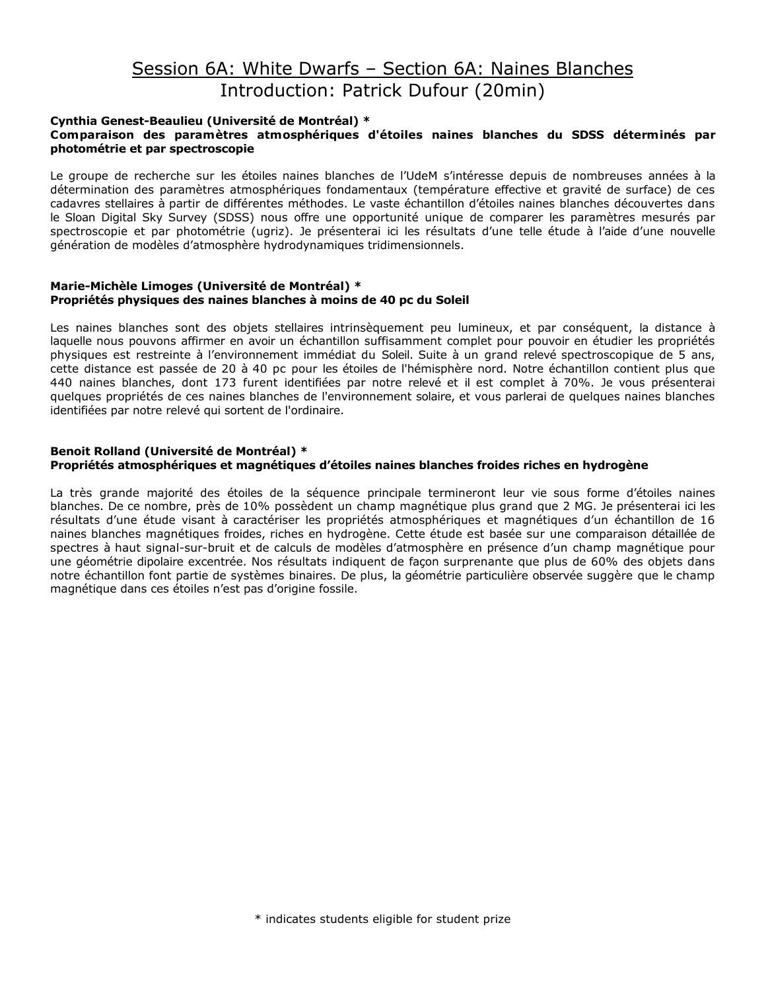# Session 6A: White Dwarfs – Section 6A: Naines Blanches Introduction: Patrick Dufour (20min)

### **Cynthia Genest-Beaulieu (Université de Montréal) \* Comparaison des paramètres atmosphériques d'étoiles naines blanches du SDSS déterminés par photométrie et par spectroscopie**

Le groupe de recherche sur les étoiles naines blanches de l'UdeM s'intéresse depuis de nombreuses années à la détermination des paramètres atmosphériques fondamentaux (température effective et gravité de surface) de ces cadavres stellaires à partir de différentes méthodes. Le vaste échantillon d'étoiles naines blanches découvertes dans le Sloan Digital Sky Survey (SDSS) nous offre une opportunité unique de comparer les paramètres mesurés par spectroscopie et par photométrie (ugriz). Je présenterai ici les résultats d'une telle étude à l'aide d'une nouvelle génération de modèles d'atmosphère hydrodynamiques tridimensionnels.

#### **Marie-Michèle Limoges (Université de Montréal) \* Propriétés physiques des naines blanches à moins de 40 pc du Soleil**

Les naines blanches sont des objets stellaires intrinsèquement peu lumineux, et par conséquent, la distance à laquelle nous pouvons affirmer en avoir un échantillon suffisamment complet pour pouvoir en étudier les propriétés physiques est restreinte à l'environnement immédiat du Soleil. Suite à un grand relevé spectroscopique de 5 ans, cette distance est passée de 20 à 40 pc pour les étoiles de l'hémisphère nord. Notre échantillon contient plus que 440 naines blanches, dont 173 furent identifiées par notre relevé et il est complet à 70%. Je vous présenterai quelques propriétés de ces naines blanches de l'environnement solaire, et vous parlerai de quelques naines blanches identifiées par notre relevé qui sortent de l'ordinaire.

### **Benoit Rolland (Université de Montréal) \* Propriétés atmosphériques et magnétiques d'étoiles naines blanches froides riches en hydrogène**

La très grande majorité des étoiles de la séquence principale termineront leur vie sous forme d'étoiles naines blanches. De ce nombre, près de 10% possèdent un champ magnétique plus grand que 2 MG. Je présenterai ici les résultats d'une étude visant à caractériser les propriétés atmosphériques et magnétiques d'un échantillon de 16 naines blanches magnétiques froides, riches en hydrogène. Cette étude est basée sur une comparaison détaillée de spectres à haut signal-sur-bruit et de calculs de modèles d'atmosphère en présence d'un champ magnétique pour une géométrie dipolaire excentrée. Nos résultats indiquent de façon surprenante que plus de 60% des objets dans notre échantillon font partie de systèmes binaires. De plus, la géométrie particulière observée suggère que le champ magnétique dans ces étoiles n'est pas d'origine fossile.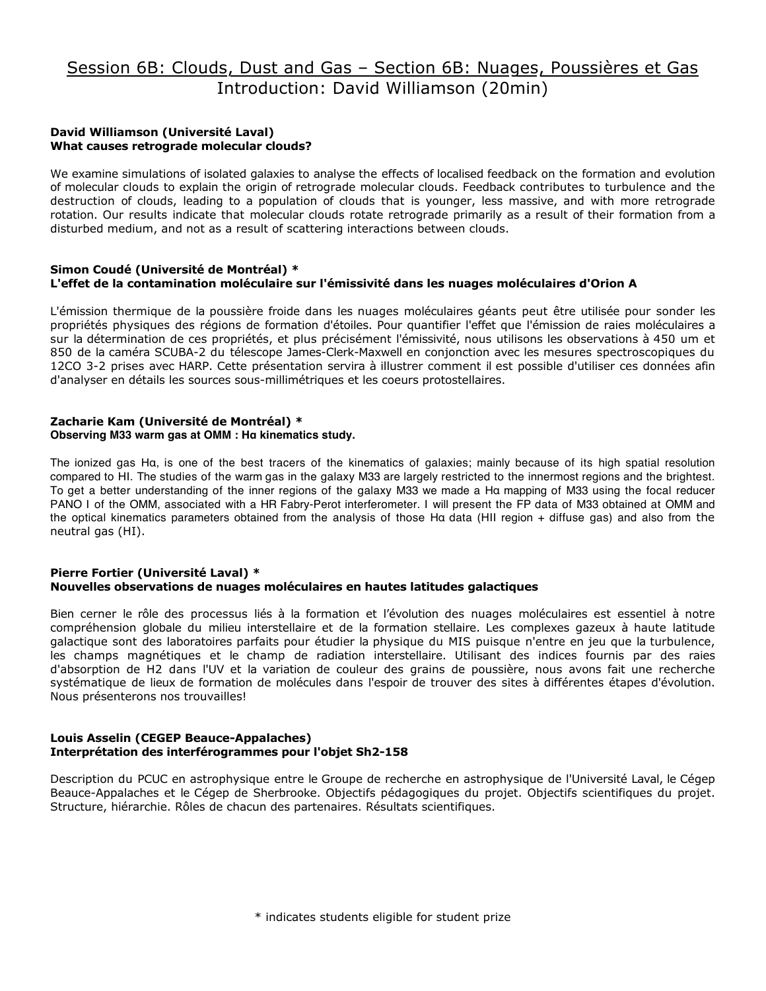# Session 6B: Clouds, Dust and Gas – Section 6B: Nuages, Poussières et Gas Introduction: David Williamson (20min)

### **David Williamson (Université Laval) What causes retrograde molecular clouds?**

We examine simulations of isolated galaxies to analyse the effects of localised feedback on the formation and evolution of molecular clouds to explain the origin of retrograde molecular clouds. Feedback contributes to turbulence and the destruction of clouds, leading to a population of clouds that is younger, less massive, and with more retrograde rotation. Our results indicate that molecular clouds rotate retrograde primarily as a result of their formation from a disturbed medium, and not as a result of scattering interactions between clouds.

### **Simon Coudé (Université de Montréal) \* L'effet de la contamination moléculaire sur l'émissivité dans les nuages moléculaires d'Orion A**

L'émission thermique de la poussière froide dans les nuages moléculaires géants peut être utilisée pour sonder les propriétés physiques des régions de formation d'étoiles. Pour quantifier l'effet que l'émission de raies moléculaires a sur la détermination de ces propriétés, et plus précisément l'émissivité, nous utilisons les observations à 450 um et 850 de la caméra SCUBA-2 du télescope James-Clerk-Maxwell en conjonction avec les mesures spectroscopiques du 12CO 3-2 prises avec HARP. Cette présentation servira à illustrer comment il est possible d'utiliser ces données afin d'analyser en détails les sources sous-millimétriques et les coeurs protostellaires.

# **Zacharie Kam (Université de Montréal) \***

## **Observing M33 warm gas at OMM : Hα kinematics study.**

The ionized gas Hα, is one of the best tracers of the kinematics of galaxies; mainly because of its high spatial resolution compared to HI. The studies of the warm gas in the galaxy M33 are largely restricted to the innermost regions and the brightest. To get a better understanding of the inner regions of the galaxy M33 we made a Hα mapping of M33 using the focal reducer PANO I of the OMM, associated with a HR Fabry-Perot interferometer. I will present the FP data of M33 obtained at OMM and the optical kinematics parameters obtained from the analysis of those Hα data (HII region + diffuse gas) and also from the neutral gas (HI).

#### **Pierre Fortier (Université Laval) \* Nouvelles observations de nuages moléculaires en hautes latitudes galactiques**

Bien cerner le rôle des processus liés à la formation et l'évolution des nuages moléculaires est essentiel à notre compréhension globale du milieu interstellaire et de la formation stellaire. Les complexes gazeux à haute latitude galactique sont des laboratoires parfaits pour étudier la physique du MIS puisque n'entre en jeu que la turbulence, les champs magnétiques et le champ de radiation interstellaire. Utilisant des indices fournis par des raies d'absorption de H2 dans l'UV et la variation de couleur des grains de poussière, nous avons fait une recherche systématique de lieux de formation de molécules dans l'espoir de trouver des sites à différentes étapes d'évolution. Nous présenterons nos trouvailles!

### **Louis Asselin (CEGEP Beauce-Appalaches) Interprétation des interférogrammes pour l'objet Sh2-158**

Description du PCUC en astrophysique entre le Groupe de recherche en astrophysique de l'Université Laval, le Cégep Beauce-Appalaches et le Cégep de Sherbrooke. Objectifs pédagogiques du projet. Objectifs scientifiques du projet. Structure, hiérarchie. Rôles de chacun des partenaires. Résultats scientifiques.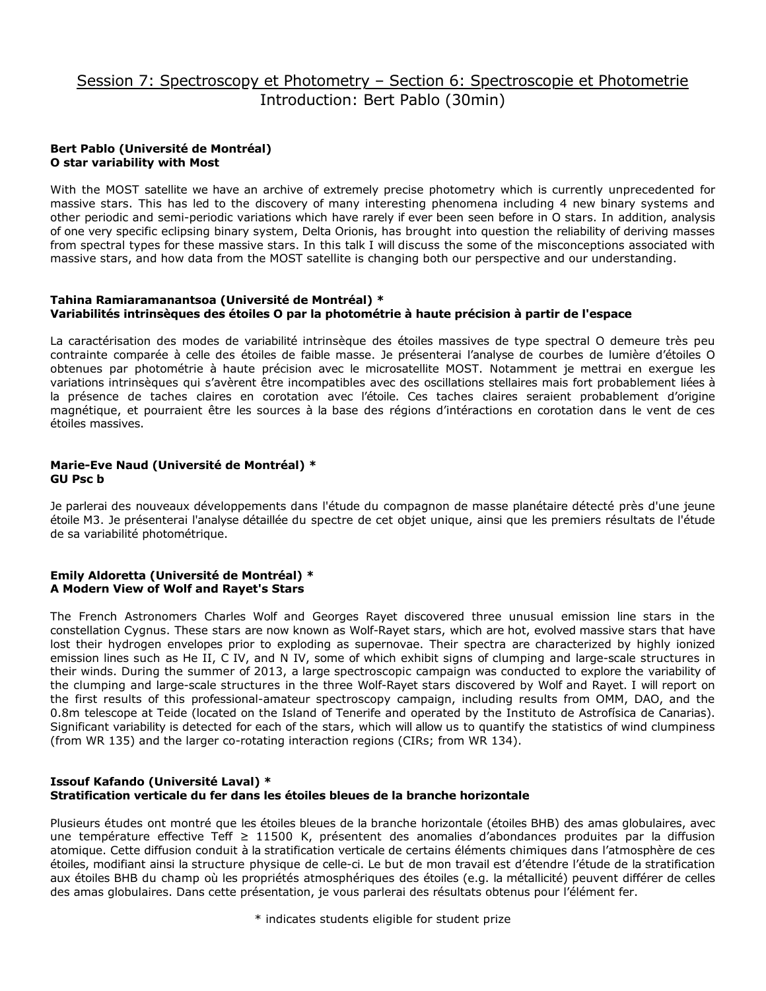# Session 7: Spectroscopy et Photometry – Section 6: Spectroscopie et Photometrie Introduction: Bert Pablo (30min)

### **Bert Pablo (Université de Montréal) O star variability with Most**

With the MOST satellite we have an archive of extremely precise photometry which is currently unprecedented for massive stars. This has led to the discovery of many interesting phenomena including 4 new binary systems and other periodic and semi-periodic variations which have rarely if ever been seen before in O stars. In addition, analysis of one very specific eclipsing binary system, Delta Orionis, has brought into question the reliability of deriving masses from spectral types for these massive stars. In this talk I will discuss the some of the misconceptions associated with massive stars, and how data from the MOST satellite is changing both our perspective and our understanding.

### **Tahina Ramiaramanantsoa (Université de Montréal) \* Variabilités intrinsèques des étoiles O par la photométrie à haute précision à partir de l'espace**

La caractérisation des modes de variabilité intrinsèque des étoiles massives de type spectral O demeure très peu contrainte comparée à celle des étoiles de faible masse. Je présenterai l'analyse de courbes de lumière d'étoiles O obtenues par photométrie à haute précision avec le microsatellite MOST. Notamment je mettrai en exergue les variations intrinsèques qui s'avèrent être incompatibles avec des oscillations stellaires mais fort probablement liées à la présence de taches claires en corotation avec l'étoile. Ces taches claires seraient probablement d'origine magnétique, et pourraient être les sources à la base des régions d'intéractions en corotation dans le vent de ces étoiles massives.

### **Marie-Eve Naud (Université de Montréal) \* GU Psc b**

Je parlerai des nouveaux développements dans l'étude du compagnon de masse planétaire détecté près d'une jeune étoile M3. Je présenterai l'analyse détaillée du spectre de cet objet unique, ainsi que les premiers résultats de l'étude de sa variabilité photométrique.

### **Emily Aldoretta (Université de Montréal) \* A Modern View of Wolf and Rayet's Stars**

The French Astronomers Charles Wolf and Georges Rayet discovered three unusual emission line stars in the constellation Cygnus. These stars are now known as Wolf-Rayet stars, which are hot, evolved massive stars that have lost their hydrogen envelopes prior to exploding as supernovae. Their spectra are characterized by highly ionized emission lines such as He II, C IV, and N IV, some of which exhibit signs of clumping and large-scale structures in their winds. During the summer of 2013, a large spectroscopic campaign was conducted to explore the variability of the clumping and large-scale structures in the three Wolf-Rayet stars discovered by Wolf and Rayet. I will report on the first results of this professional-amateur spectroscopy campaign, including results from OMM, DAO, and the 0.8m telescope at Teide (located on the Island of Tenerife and operated by the Instituto de Astrofísica de Canarias). Significant variability is detected for each of the stars, which will allow us to quantify the statistics of wind clumpiness (from WR 135) and the larger co-rotating interaction regions (CIRs; from WR 134).

### **Issouf Kafando (Université Laval) \* Stratification verticale du fer dans les étoiles bleues de la branche horizontale**

Plusieurs études ont montré que les étoiles bleues de la branche horizontale (étoiles BHB) des amas globulaires, avec une température effective Teff ≥ 11500 K, présentent des anomalies d'abondances produites par la diffusion atomique. Cette diffusion conduit à la stratification verticale de certains éléments chimiques dans l'atmosphère de ces étoiles, modifiant ainsi la structure physique de celle-ci. Le but de mon travail est d'étendre l'étude de la stratification aux étoiles BHB du champ où les propriétés atmosphériques des étoiles (e.g. la métallicité) peuvent différer de celles des amas globulaires. Dans cette présentation, je vous parlerai des résultats obtenus pour l'élément fer.

\* indicates students eligible for student prize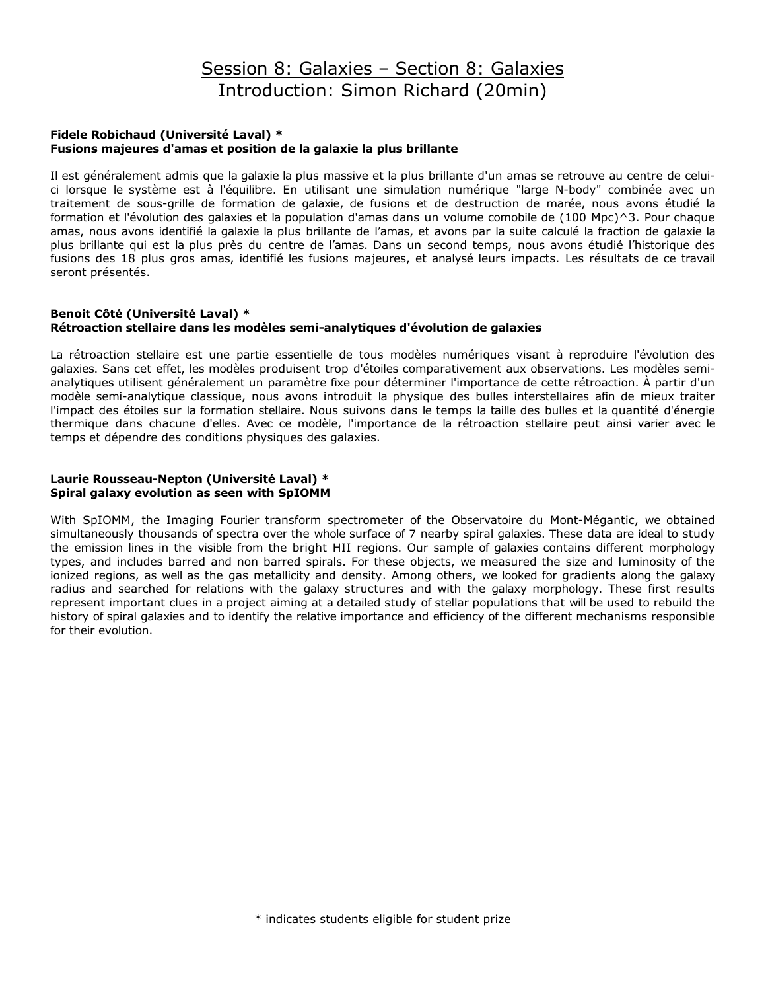# Session 8: Galaxies – Section 8: Galaxies Introduction: Simon Richard (20min)

### **Fidele Robichaud (Université Laval) \* Fusions majeures d'amas et position de la galaxie la plus brillante**

Il est généralement admis que la galaxie la plus massive et la plus brillante d'un amas se retrouve au centre de celuici lorsque le système est à l'équilibre. En utilisant une simulation numérique "large N-body" combinée avec un traitement de sous-grille de formation de galaxie, de fusions et de destruction de marée, nous avons étudié la formation et l'évolution des galaxies et la population d'amas dans un volume comobile de (100 Mpc)^3. Pour chaque amas, nous avons identifié la galaxie la plus brillante de l'amas, et avons par la suite calculé la fraction de galaxie la plus brillante qui est la plus près du centre de l'amas. Dans un second temps, nous avons étudié l'historique des fusions des 18 plus gros amas, identifié les fusions majeures, et analysé leurs impacts. Les résultats de ce travail seront présentés.

### **Benoit Côté (Université Laval) \* Rétroaction stellaire dans les modèles semi-analytiques d'évolution de galaxies**

La rétroaction stellaire est une partie essentielle de tous modèles numériques visant à reproduire l'évolution des galaxies. Sans cet effet, les modèles produisent trop d'étoiles comparativement aux observations. Les modèles semianalytiques utilisent généralement un paramètre fixe pour déterminer l'importance de cette rétroaction. À partir d'un modèle semi-analytique classique, nous avons introduit la physique des bulles interstellaires afin de mieux traiter l'impact des étoiles sur la formation stellaire. Nous suivons dans le temps la taille des bulles et la quantité d'énergie thermique dans chacune d'elles. Avec ce modèle, l'importance de la rétroaction stellaire peut ainsi varier avec le temps et dépendre des conditions physiques des galaxies.

### **Laurie Rousseau-Nepton (Université Laval) \* Spiral galaxy evolution as seen with SpIOMM**

With SpIOMM, the Imaging Fourier transform spectrometer of the Observatoire du Mont-Mégantic, we obtained simultaneously thousands of spectra over the whole surface of 7 nearby spiral galaxies. These data are ideal to study the emission lines in the visible from the bright HII regions. Our sample of galaxies contains different morphology types, and includes barred and non barred spirals. For these objects, we measured the size and luminosity of the ionized regions, as well as the gas metallicity and density. Among others, we looked for gradients along the galaxy radius and searched for relations with the galaxy structures and with the galaxy morphology. These first results represent important clues in a project aiming at a detailed study of stellar populations that will be used to rebuild the history of spiral galaxies and to identify the relative importance and efficiency of the different mechanisms responsible for their evolution.